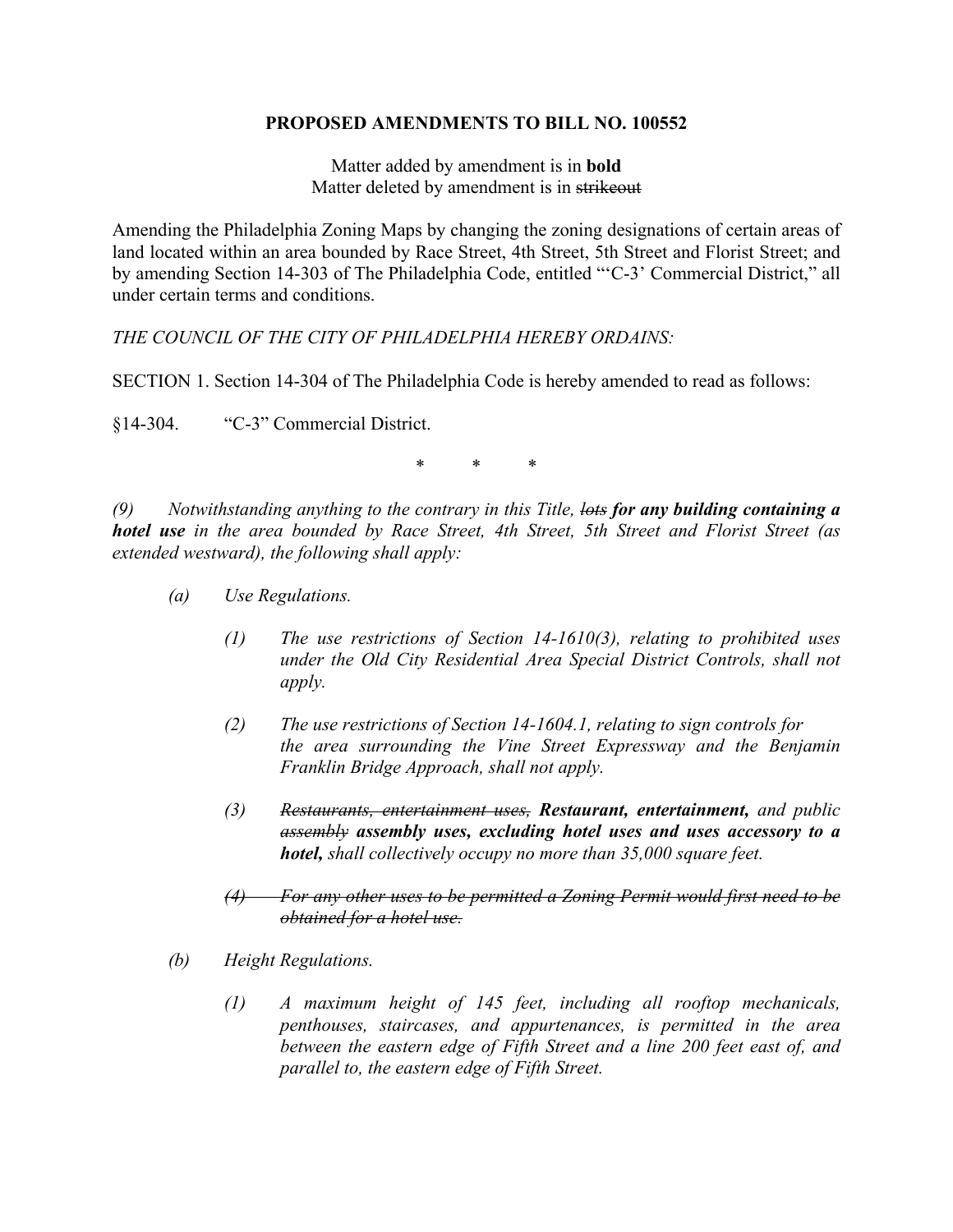## **PROPOSED AMENDMENTS TO BILL NO. 100552**

Matter added by amendment is in **bold** Matter deleted by amendment is in strikeout

Amending the Philadelphia Zoning Maps by changing the zoning designations of certain areas of land located within an area bounded by Race Street, 4th Street, 5th Street and Florist Street; and by amending Section 14-303 of The Philadelphia Code, entitled "'C-3' Commercial District," all under certain terms and conditions.

*THE COUNCIL OF THE CITY OF PHILADELPHIA HEREBY ORDAINS:*

SECTION 1. Section 14-304 of The Philadelphia Code is hereby amended to read as follows:

§14-304. "C-3" Commercial District.

\* \* \*

*(9) Notwithstanding anything to the contrary in this Title, lots for any building containing a hotel use in the area bounded by Race Street, 4th Street, 5th Street and Florist Street (as extended westward), the following shall apply:*

- *(a) Use Regulations.*
	- *(1) The use restrictions of Section 14-1610(3), relating to prohibited uses under the Old City Residential Area Special District Controls, shall not apply.*
	- *(2) The use restrictions of Section 14-1604.1, relating to sign controls for the area surrounding the Vine Street Expressway and the Benjamin Franklin Bridge Approach, shall not apply.*
	- *(3) Restaurants, entertainment uses, Restaurant, entertainment, and public assembly assembly uses, excluding hotel uses and uses accessory to a hotel, shall collectively occupy no more than 35,000 square feet.*
	- *(4) For any other uses to be permitted a Zoning Permit would first need to be obtained for a hotel use.*
- *(b) Height Regulations.*
	- *(1) A maximum height of 145 feet, including all rooftop mechanicals, penthouses, staircases, and appurtenances, is permitted in the area between the eastern edge of Fifth Street and a line 200 feet east of, and parallel to, the eastern edge of Fifth Street.*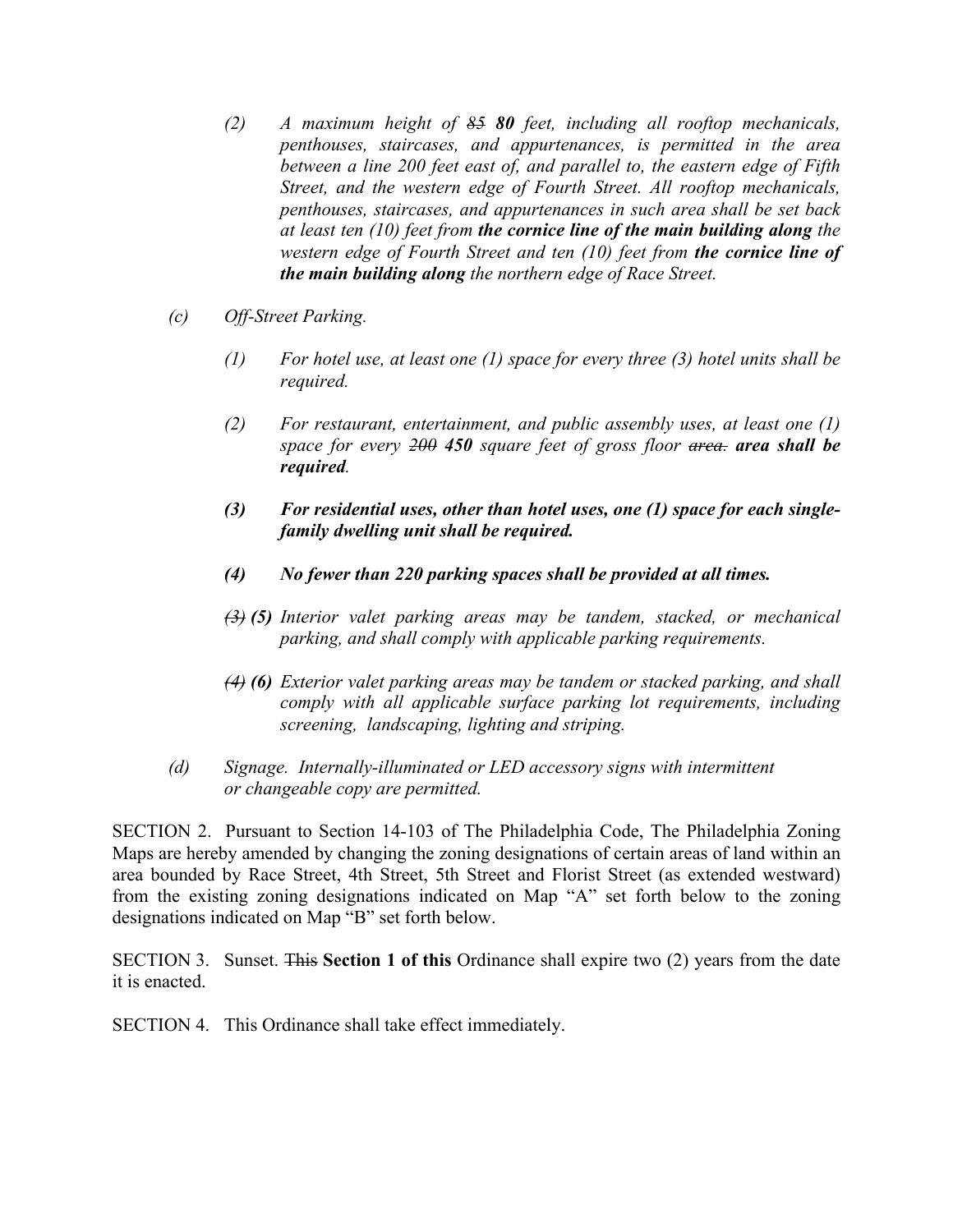- *(2) A maximum height of 85 80 feet, including all rooftop mechanicals, penthouses, staircases, and appurtenances, is permitted in the area between a line 200 feet east of, and parallel to, the eastern edge of Fifth Street, and the western edge of Fourth Street. All rooftop mechanicals, penthouses, staircases, and appurtenances in such area shall be set back at least ten (10) feet from the cornice line of the main building along the western edge of Fourth Street and ten (10) feet from the cornice line of the main building along the northern edge of Race Street.*
- *(c) Off-Street Parking.*
	- *(1) For hotel use, at least one (1) space for every three (3) hotel units shall be required.*
	- *(2) For restaurant, entertainment, and public assembly uses, at least one (1) space for every 200 450 square feet of gross floor area. area shall be required.*
	- *(3) For residential uses, other than hotel uses, one (1) space for each singlefamily dwelling unit shall be required.*
	- *(4) No fewer than 220 parking spaces shall be provided at all times.*
	- *(3) (5) Interior valet parking areas may be tandem, stacked, or mechanical parking, and shall comply with applicable parking requirements.*
	- *(4) (6) Exterior valet parking areas may be tandem or stacked parking, and shall comply with all applicable surface parking lot requirements, including screening, landscaping, lighting and striping.*
- *(d) Signage. Internally-illuminated or LED accessory signs with intermittent or changeable copy are permitted.*

SECTION 2. Pursuant to Section 14-103 of The Philadelphia Code, The Philadelphia Zoning Maps are hereby amended by changing the zoning designations of certain areas of land within an area bounded by Race Street, 4th Street, 5th Street and Florist Street (as extended westward) from the existing zoning designations indicated on Map "A" set forth below to the zoning designations indicated on Map "B" set forth below.

SECTION 3. Sunset. This **Section 1 of this** Ordinance shall expire two (2) years from the date it is enacted.

SECTION 4. This Ordinance shall take effect immediately.